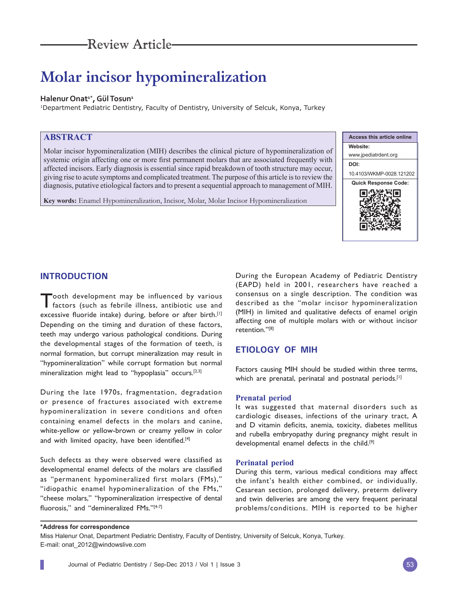# **Molar incisor hypomineralization**

# Halenur Onat<sup>1\*</sup>, Gül Tosun<sup>1</sup>

1Department Pediatric Dentistry, Faculty of Dentistry, University of Selcuk, Konya, Turkey

# **ABSTRACT**

Molar incisor hypomineralization (MIH) describes the clinical picture of hypomineralization of systemic origin affecting one or more first permanent molars that are associated frequently with affected incisors. Early diagnosis is essential since rapid breakdown of tooth structure may occur, giving rise to acute symptoms and complicated treatment. The purpose of this article is to review the diagnosis, putative etiological factors and to present a sequential approach to management of MIH.

**Key words:** Enamel Hypomineralization, Incisor, Molar, Molar Incisor Hypomineralization



# **INTRODUCTION**

Tooth development may be influenced by various<br>factors (such as febrile illness, antibiotic use and excessive fluoride intake) during, before or after birth.<sup>[1]</sup> Depending on the timing and duration of these factors, teeth may undergo various pathological conditions. During the developmental stages of the formation of teeth, is normal formation, but corrupt mineralization may result in "hypomineralization" while corrupt formation but normal mineralization might lead to "hypoplasia" occurs.<sup>[2,3]</sup>

During the late 1970s, fragmentation, degradation or presence of fractures associated with extreme hypomineralization in severe conditions and often containing enamel defects in the molars and canine, white-yellow or yellow-brown or creamy yellow in color and with limited opacity, have been identified.<sup>[4]</sup>

Such defects as they were observed were classified as developmental enamel defects of the molars are classified as "permanent hypomineralized first molars (FMs)," "idiopathic enamel hypomineralization of the FMs," "cheese molars," "hypomineralization irrespective of dental fluorosis," and "demineralized FMs."<sup>[4-7]</sup>

During the European Academy of Pediatric Dentistry (EAPD) held in 2001, researchers have reached a consensus on a single description. The condition was described as the "molar incisor hypomineralization (MIH) in limited and qualitative defects of enamel origin affecting one of multiple molars with or without incisor retention."[8]

# **ETIOLOGY OF MIH**

Factors causing MIH should be studied within three terms, which are prenatal, perinatal and postnatal periods.<sup>[1]</sup>

# **Prenatal period**

It was suggested that maternal disorders such as cardiologic diseases, infections of the urinary tract, A and D vitamin deficits, anemia, toxicity, diabetes mellitus and rubella embryopathy during pregnancy might result in developmental enamel defects in the child.[9]

# **Perinatal period**

During this term, various medical conditions may affect the infant's health either combined, or individually. Cesarean section, prolonged delivery, preterm delivery and twin deliveries are among the very frequent perinatal problems/conditions. MIH is reported to be higher

#### **\*Address for correspondence**

Miss Halenur Onat, Department Pediatric Dentistry, Faculty of Dentistry, University of Selcuk, Konya, Turkey. E-mail: onat\_2012@windowslive.com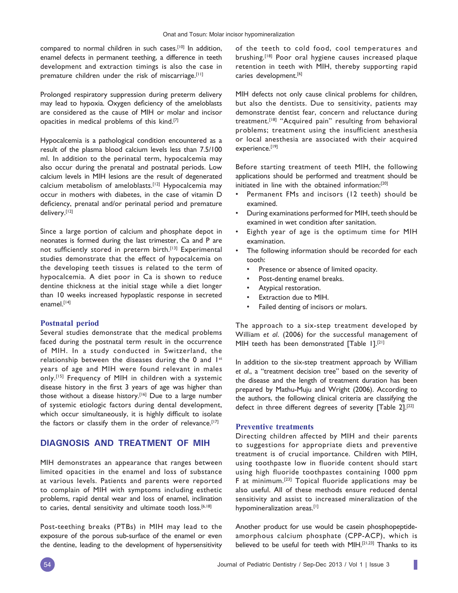compared to normal children in such cases.[10] In addition, enamel defects in permanent teething, a difference in teeth development and extraction timings is also the case in premature children under the risk of miscarriage.<sup>[11]</sup>

Prolonged respiratory suppression during preterm delivery may lead to hypoxia. Oxygen deficiency of the ameloblasts are considered as the cause of MIH or molar and incisor opacities in medical problems of this kind.[7]

Hypocalcemia is a pathological condition encountered as a result of the plasma blood calcium levels less than 7.5/100 ml. In addition to the perinatal term, hypocalcemia may also occur during the prenatal and postnatal periods. Low calcium levels in MIH lesions are the result of degenerated calcium metabolism of ameloblasts.[12] Hypocalcemia may occur in mothers with diabetes, in the case of vitamin D deficiency, prenatal and/or perinatal period and premature delivery.[12]

Since a large portion of calcium and phosphate depot in neonates is formed during the last trimester, Ca and P are not sufficiently stored in preterm birth.<sup>[13]</sup> Experimental studies demonstrate that the effect of hypocalcemia on the developing teeth tissues is related to the term of hypocalcemia. A diet poor in Ca is shown to reduce dentine thickness at the initial stage while a diet longer than 10 weeks increased hypoplastic response in secreted enamel.<sup>[14]</sup>

#### **Postnatal period**

Several studies demonstrate that the medical problems faced during the postnatal term result in the occurrence of MIH. In a study conducted in Switzerland, the relationship between the diseases during the 0 and 1st years of age and MIH were found relevant in males only.[15] Frequency of MIH in children with a systemic disease history in the first 3 years of age was higher than those without a disease history.[16] Due to a large number of systemic etiologic factors during dental development, which occur simultaneously, it is highly difficult to isolate the factors or classify them in the order of relevance.<sup>[17]</sup>

# **DIAGNOSIS AND TREATMENT OF MIH**

MIH demonstrates an appearance that ranges between limited opacities in the enamel and loss of substance at various levels. Patients and parents were reported to complain of MIH with symptoms including esthetic problems, rapid dental wear and loss of enamel, inclination to caries, dental sensitivity and ultimate tooth loss.[6,18]

Post-teething breaks (PTBs) in MIH may lead to the exposure of the porous sub-surface of the enamel or even the dentine, leading to the development of hypersensitivity

of the teeth to cold food, cool temperatures and brushing.[18] Poor oral hygiene causes increased plaque retention in teeth with MIH, thereby supporting rapid caries development.<sup>[6]</sup>

MIH defects not only cause clinical problems for children, but also the dentists. Due to sensitivity, patients may demonstrate dentist fear, concern and reluctance during treatment.[18] "Acquired pain" resulting from behavioral problems; treatment using the insufficient anesthesia or local anesthesia are associated with their acquired experience.[19]

Before starting treatment of teeth MIH, the following applications should be performed and treatment should be initiated in line with the obtained information:[20]

- Permanent FMs and incisors (12 teeth) should be examined.
- During examinations performed for MIH, teeth should be examined in wet condition after sanitation.
- Eighth year of age is the optimum time for MIH examination.
- The following information should be recorded for each tooth:
	- Presence or absence of limited opacity.
	- Post-denting enamel breaks.
	- Atypical restoration.
	- Extraction due to MIH.
	- Failed denting of incisors or molars.

The approach to a six-step treatment developed by William *et al*. (2006) for the successful management of MIH teeth has been demonstrated [Table 1].<sup>[21]</sup>

In addition to the six-step treatment approach by William *et al*., a "treatment decision tree" based on the severity of the disease and the length of treatment duration has been prepared by Mathu-Muju and Wright (2006). According to the authors, the following clinical criteria are classifying the defect in three different degrees of severity [Table 2].[22]

#### **Preventive treatments**

Directing children affected by MIH and their parents to suggestions for appropriate diets and preventive treatment is of crucial importance. Children with MIH, using toothpaste low in fluoride content should start using high fluoride toothpastes containing 1000 ppm F at minimum.[23] Topical fluoride applications may be also useful. All of these methods ensure reduced dental sensitivity and assist to increased mineralization of the hypomineralization areas.[1]

Another product for use would be casein phosphopeptideamorphous calcium phosphate (CPP-ACP), which is believed to be useful for teeth with MIH.<sup>[21,23]</sup> Thanks to its

I.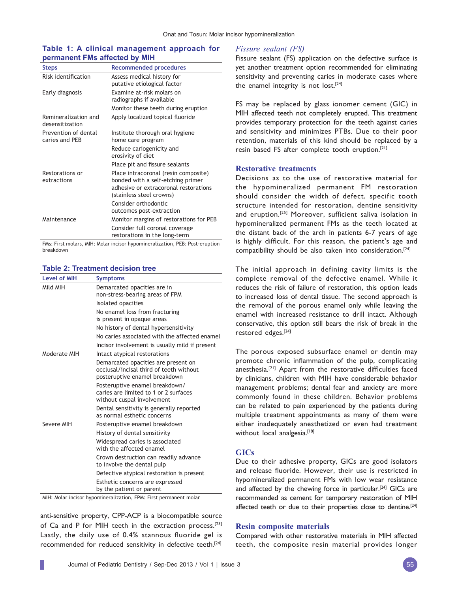# **Table 1: A clinical management approach for permanent FMs affected by MIH**

| <b>Steps</b>                            | <b>Recommended procedures</b>                                                                                                                  |
|-----------------------------------------|------------------------------------------------------------------------------------------------------------------------------------------------|
| Risk identification                     | Assess medical history for<br>putative etiological factor                                                                                      |
| Early diagnosis                         | Examine at-risk molars on<br>radiographs if available                                                                                          |
|                                         | Monitor these teeth during eruption                                                                                                            |
| Remineralization and<br>desensitization | Apply localized topical fluoride                                                                                                               |
| Prevention of dental                    | Institute thorough oral hygiene                                                                                                                |
| caries and PFB                          | home care program                                                                                                                              |
|                                         | Reduce cariogenicity and<br>erosivity of diet                                                                                                  |
|                                         | Place pit and fissure sealants                                                                                                                 |
| Restorations or<br>extractions          | Place intracoronal (resin composite)<br>bonded with a self-etching primer<br>adhesive or extracoronal restorations<br>(stainless steel crowns) |
|                                         | Consider orthodontic<br>outcomes post-extraction                                                                                               |
| Maintenance                             | Monitor margins of restorations for PEB                                                                                                        |
|                                         | Consider full coronal coverage<br>restorations in the long-term                                                                                |
| $-11$ $-1$<br>$\sim$<br>.               |                                                                                                                                                |

FMs: First molars, MIH: Molar incisor hypomineralization, PEB: Post-eruption breakdown

## **Table 2: Treatment decision tree**

| <b>Level of MIH</b> | <b>Symptoms</b>                                                                                                 |
|---------------------|-----------------------------------------------------------------------------------------------------------------|
| Mild MIH            | Demarcated opacities are in                                                                                     |
|                     | non-stress-bearing areas of FPM                                                                                 |
|                     | Isolated opacities                                                                                              |
|                     | No enamel loss from fracturing                                                                                  |
|                     | is present in opaque areas                                                                                      |
|                     | No history of dental hypersensitivity                                                                           |
|                     | No caries associated with the affected enamel                                                                   |
|                     | Incisor involvement is usually mild if present                                                                  |
| Moderate MIH        | Intact atypical restorations                                                                                    |
|                     | Demarcated opacities are present on<br>occlusal/incisal third of teeth without<br>posteruptive enamel breakdown |
|                     | Posteruptive enamel breakdown/<br>caries are limited to 1 or 2 surfaces<br>without cuspal involvement           |
|                     | Dental sensitivity is generally reported<br>as normal esthetic concerns                                         |
| Severe MIH          | Posteruptive enamel breakdown                                                                                   |
|                     | History of dental sensitivity                                                                                   |
|                     | Widespread caries is associated                                                                                 |
|                     | with the affected enamel                                                                                        |
|                     | Crown destruction can readily advance<br>to involve the dental pulp                                             |
|                     | Defective atypical restoration is present                                                                       |
|                     | Esthetic concerns are expressed<br>by the patient or parent                                                     |

MIH: Molar incisor hypomineralization, FPM: First permanent molar

anti-sensitive property, CPP-ACP is a biocompatible source of Ca and P for MIH teeth in the extraction process.<sup>[23]</sup> Lastly, the daily use of 0.4% stannous fluoride gel is recommended for reduced sensitivity in defective teeth.[24]

#### *Fissure sealant (FS)*

Fissure sealant (FS) application on the defective surface is yet another treatment option recommended for eliminating sensitivity and preventing caries in moderate cases where the enamel integrity is not lost.<sup>[24]</sup>

FS may be replaced by glass ionomer cement (GIC) in MIH affected teeth not completely erupted. This treatment provides temporary protection for the teeth against caries and sensitivity and minimizes PTBs. Due to their poor retention, materials of this kind should be replaced by a resin based FS after complete tooth eruption.[21]

## **Restorative treatments**

Decisions as to the use of restorative material for the hypomineralized permanent FM restoration should consider the width of defect, specific tooth structure intended for restoration, dentine sensitivity and eruption.[25] Moreover, sufficient saliva isolation in hypomineralized permanent FMs as the teeth located at the distant back of the arch in patients 6-7 years of age is highly difficult. For this reason, the patient's age and compatibility should be also taken into consideration.[24]

The initial approach in defining cavity limits is the complete removal of the defective enamel. While it reduces the risk of failure of restoration, this option leads to increased loss of dental tissue. The second approach is the removal of the porous enamel only while leaving the enamel with increased resistance to drill intact. Although conservative, this option still bears the risk of break in the restored edges.[24]

The porous exposed subsurface enamel or dentin may promote chronic inflammation of the pulp, complicating anesthesia.[21] Apart from the restorative difficulties faced by clinicians, children with MIH have considerable behavior management problems; dental fear and anxiety are more commonly found in these children. Behavior problems can be related to pain experienced by the patients during multiple treatment appointments as many of them were either inadequately anesthetized or even had treatment without local analgesia.[18]

#### **GICs**

Due to their adhesive property, GICs are good isolators and release fluoride. However, their use is restricted in hypomineralized permanent FMs with low wear resistance and affected by the chewing force in particular.<sup>[24]</sup> GICs are recommended as cement for temporary restoration of MIH affected teeth or due to their properties close to dentine.<sup>[24]</sup>

# **Resin composite materials**

Compared with other restorative materials in MIH affected teeth, the composite resin material provides longer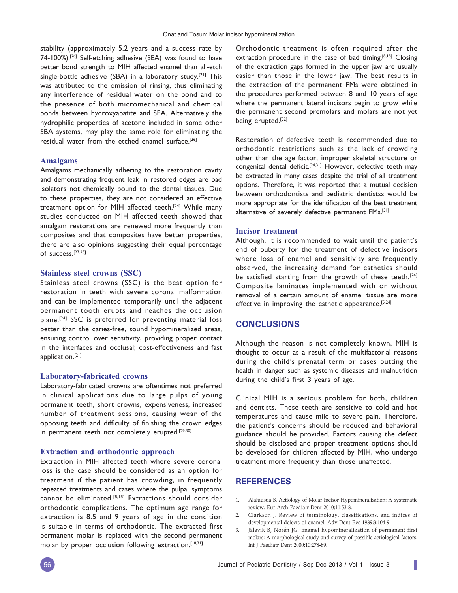stability (approximately 5.2 years and a success rate by 74-100%).[26] Self-etching adhesive (SEA) was found to have better bond strength to MIH affected enamel than all-etch single-bottle adhesive (SBA) in a laboratory study.[21] This was attributed to the omission of rinsing, thus eliminating any interference of residual water on the bond and to the presence of both micromechanical and chemical bonds between hydroxyapatite and SEA. Alternatively the hydrophilic properties of acetone included in some other SBA systems, may play the same role for eliminating the residual water from the etched enamel surface.[26]

#### **Amalgams**

Amalgams mechanically adhering to the restoration cavity and demonstrating frequent leak in restored edges are bad isolators not chemically bound to the dental tissues. Due to these properties, they are not considered an effective treatment option for MIH affected teeth.[24] While many studies conducted on MIH affected teeth showed that amalgam restorations are renewed more frequently than composites and that composites have better properties, there are also opinions suggesting their equal percentage of success.[27,28]

#### **Stainless steel crowns (SSC)**

Stainless steel crowns (SSC) is the best option for restoration in teeth with severe coronal malformation and can be implemented temporarily until the adjacent permanent tooth erupts and reaches the occlusion plane.[24] SSC is preferred for preventing material loss better than the caries-free, sound hypomineralized areas, ensuring control over sensitivity, providing proper contact in the interfaces and occlusal; cost-effectiveness and fast application.[21]

#### **Laboratory-fabricated crowns**

Laboratory-fabricated crowns are oftentimes not preferred in clinical applications due to large pulps of young permanent teeth, short crowns, expensiveness, increased number of treatment sessions, causing wear of the opposing teeth and difficulty of finishing the crown edges in permanent teeth not completely erupted.<sup>[29,30]</sup>

## **Extraction and orthodontic approach**

Extraction in MIH affected teeth where severe coronal loss is the case should be considered as an option for treatment if the patient has crowding, in frequently repeated treatments and cases where the pulpal symptoms cannot be eliminated.[8,18] Extractions should consider orthodontic complications. The optimum age range for extraction is 8.5 and 9 years of age in the condition is suitable in terms of orthodontic. The extracted first permanent molar is replaced with the second permanent molar by proper occlusion following extraction.<sup>[18,31]</sup>

Orthodontic treatment is often required after the extraction procedure in the case of bad timing.<sup>[8,18]</sup> Closing of the extraction gaps formed in the upper jaw are usually easier than those in the lower jaw. The best results in the extraction of the permanent FMs were obtained in the procedures performed between 8 and 10 years of age where the permanent lateral incisors begin to grow while the permanent second premolars and molars are not yet being erupted.<sup>[32]</sup>

Restoration of defective teeth is recommended due to orthodontic restrictions such as the lack of crowding other than the age factor, improper skeletal structure or congenital dental deficit.[24,31] However, defective teeth may be extracted in many cases despite the trial of all treatment options. Therefore, it was reported that a mutual decision between orthodontists and pediatric dentistss would be more appropriate for the identification of the best treatment alternative of severely defective permanent FMs.[31]

#### **Incisor treatment**

Although, it is recommended to wait until the patient's end of puberty for the treatment of defective incisors where loss of enamel and sensitivity are frequently observed, the increasing demand for esthetics should be satisfied starting from the growth of these teeth.<sup>[24]</sup> Composite laminates implemented with or without removal of a certain amount of enamel tissue are more effective in improving the esthetic appearance.<sup>[5,24]</sup>

## **CONCLUSIONS**

Although the reason is not completely known, MIH is thought to occur as a result of the multifactorial reasons during the child's prenatal term or cases putting the health in danger such as systemic diseases and malnutrition during the child's first 3 years of age.

Clinical MIH is a serious problem for both, children and dentists. These teeth are sensitive to cold and hot temperatures and cause mild to severe pain. Therefore, the patient's concerns should be reduced and behavioral guidance should be provided. Factors causing the defect should be disclosed and proper treatment options should be developed for children affected by MIH, who undergo treatment more frequently than those unaffected.

# **REFERENCES**

- 1. Alaluusua S. Aetiology of Molar-Incisor Hypomineralisation: A systematic review. Eur Arch Paediatr Dent 2010;11:53-8.
- 2. Clarkson J. Review of terminology, classifications, and indices of developmental defects of enamel. Adv Dent Res 1989;3:104-9.
- Jälevik B, Norén JG. Enamel hypomineralization of permanent first molars: A morphological study and survey of possible aetiological factors. Int J Paediatr Dent 2000;10:278-89.

I.